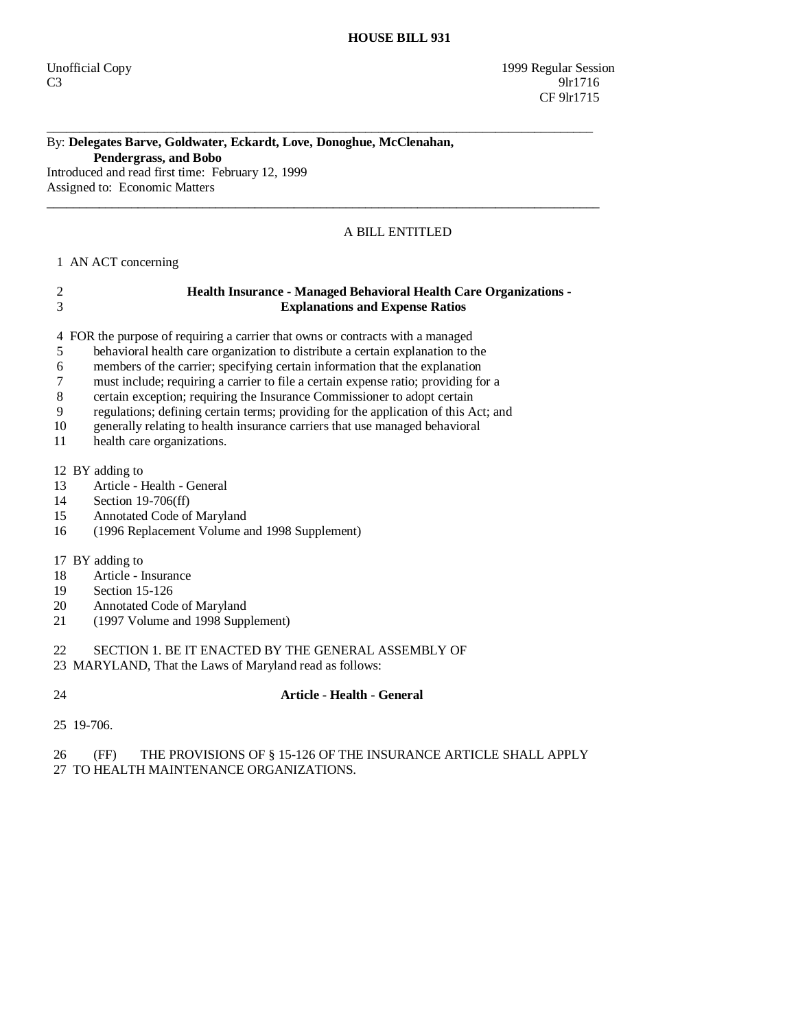### By: **Delegates Barve, Goldwater, Eckardt, Love, Donoghue, McClenahan, Pendergrass, and Bobo**  Introduced and read first time: February 12, 1999

\_\_\_\_\_\_\_\_\_\_\_\_\_\_\_\_\_\_\_\_\_\_\_\_\_\_\_\_\_\_\_\_\_\_\_\_\_\_\_\_\_\_\_\_\_\_\_\_\_\_\_\_\_\_\_\_\_\_\_\_\_\_\_\_\_\_\_\_\_\_\_\_\_\_\_\_\_\_\_\_\_\_\_\_

 $\_$  ,  $\_$  ,  $\_$  ,  $\_$  ,  $\_$  ,  $\_$  ,  $\_$  ,  $\_$  ,  $\_$  ,  $\_$  ,  $\_$  ,  $\_$  ,  $\_$  ,  $\_$  ,  $\_$  ,  $\_$  ,  $\_$  ,  $\_$  ,  $\_$  ,  $\_$  ,  $\_$  ,  $\_$  ,  $\_$  ,  $\_$  ,  $\_$  ,  $\_$  ,  $\_$  ,  $\_$  ,  $\_$  ,  $\_$  ,  $\_$  ,  $\_$  ,  $\_$  ,  $\_$  ,  $\_$  ,  $\_$  ,  $\_$  ,

Assigned to: Economic Matters

# A BILL ENTITLED

## 1 AN ACT concerning

# 2 **Health Insurance - Managed Behavioral Health Care Organizations -**  3 **Explanations and Expense Ratios**

4 FOR the purpose of requiring a carrier that owns or contracts with a managed

- 5 behavioral health care organization to distribute a certain explanation to the
- 6 members of the carrier; specifying certain information that the explanation
- 7 must include; requiring a carrier to file a certain expense ratio; providing for a
- 8 certain exception; requiring the Insurance Commissioner to adopt certain
- 9 regulations; defining certain terms; providing for the application of this Act; and
- 10 generally relating to health insurance carriers that use managed behavioral
- 11 health care organizations.
- 12 BY adding to
- 13 Article Health General
- 14 Section 19-706(ff)
- 15 Annotated Code of Maryland
- 16 (1996 Replacement Volume and 1998 Supplement)

#### 17 BY adding to

- 18 Article Insurance
- 19 Section 15-126
- 20 Annotated Code of Maryland<br>21 (1997 Volume and 1998 Supr
- 21 (1997 Volume and 1998 Supplement)

# 22 SECTION 1. BE IT ENACTED BY THE GENERAL ASSEMBLY OF

- 23 MARYLAND, That the Laws of Maryland read as follows:
- 

# 24 **Article - Health - General**

25 19-706.

#### 26 (FF) THE PROVISIONS OF § 15-126 OF THE INSURANCE ARTICLE SHALL APPLY 27 TO HEALTH MAINTENANCE ORGANIZATIONS.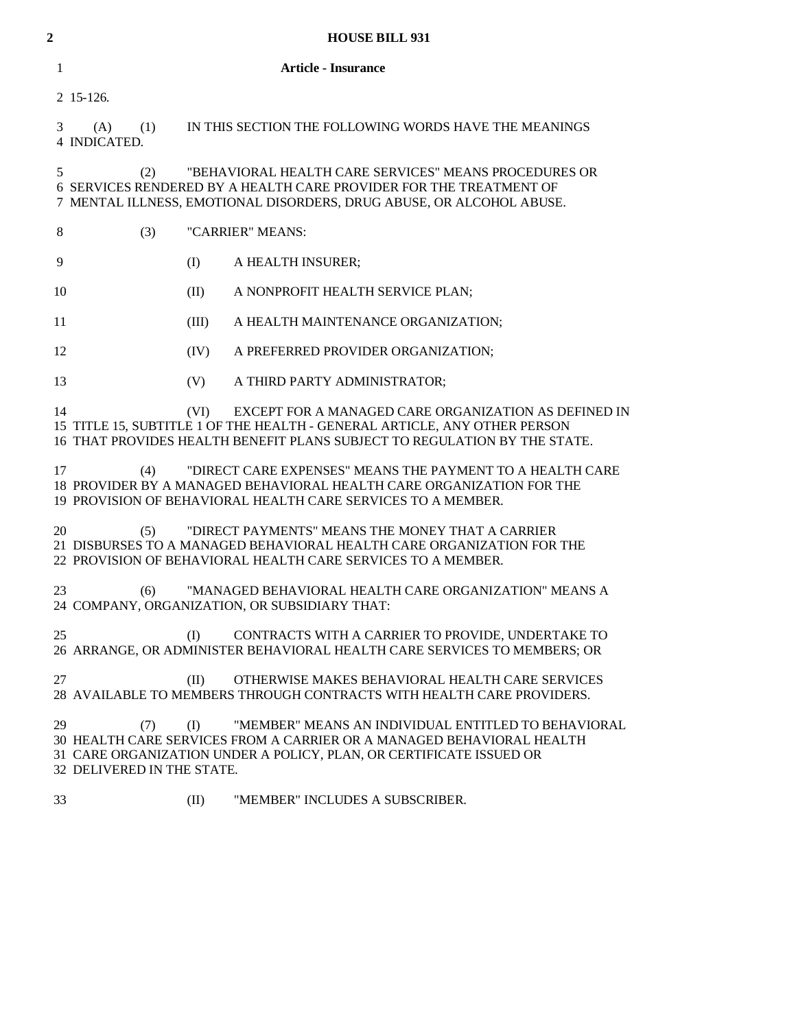| 2  | <b>HOUSE BILL 931</b>                                                                                                                                                                                           |                  |                                                                                                                                                                                                                |  |
|----|-----------------------------------------------------------------------------------------------------------------------------------------------------------------------------------------------------------------|------------------|----------------------------------------------------------------------------------------------------------------------------------------------------------------------------------------------------------------|--|
| 1  | <b>Article - Insurance</b>                                                                                                                                                                                      |                  |                                                                                                                                                                                                                |  |
|    | 2 15-126.                                                                                                                                                                                                       |                  |                                                                                                                                                                                                                |  |
| 3  | (A)<br>(1)<br>4 INDICATED.                                                                                                                                                                                      |                  | IN THIS SECTION THE FOLLOWING WORDS HAVE THE MEANINGS                                                                                                                                                          |  |
|    | "BEHAVIORAL HEALTH CARE SERVICES" MEANS PROCEDURES OR<br>5<br>(2)<br>6 SERVICES RENDERED BY A HEALTH CARE PROVIDER FOR THE TREATMENT OF<br>7 MENTAL ILLNESS, EMOTIONAL DISORDERS, DRUG ABUSE, OR ALCOHOL ABUSE. |                  |                                                                                                                                                                                                                |  |
| 8  | (3)                                                                                                                                                                                                             | "CARRIER" MEANS: |                                                                                                                                                                                                                |  |
| 9  | (I)                                                                                                                                                                                                             |                  | A HEALTH INSURER;                                                                                                                                                                                              |  |
| 10 | (II)                                                                                                                                                                                                            |                  | A NONPROFIT HEALTH SERVICE PLAN;                                                                                                                                                                               |  |
| 11 |                                                                                                                                                                                                                 | (III)            | A HEALTH MAINTENANCE ORGANIZATION;                                                                                                                                                                             |  |
| 12 |                                                                                                                                                                                                                 | (IV)             | A PREFERRED PROVIDER ORGANIZATION;                                                                                                                                                                             |  |
| 13 |                                                                                                                                                                                                                 | (V)              | A THIRD PARTY ADMINISTRATOR;                                                                                                                                                                                   |  |
| 14 |                                                                                                                                                                                                                 | (VI)             | EXCEPT FOR A MANAGED CARE ORGANIZATION AS DEFINED IN<br>15 TITLE 15, SUBTITLE 1 OF THE HEALTH - GENERAL ARTICLE, ANY OTHER PERSON<br>16 THAT PROVIDES HEALTH BENEFIT PLANS SUBJECT TO REGULATION BY THE STATE. |  |
| 17 | (4)                                                                                                                                                                                                             |                  | "DIRECT CARE EXPENSES" MEANS THE PAYMENT TO A HEALTH CARE<br>18 PROVIDER BY A MANAGED BEHAVIORAL HEALTH CARE ORGANIZATION FOR THE<br>19 PROVISION OF BEHAVIORAL HEALTH CARE SERVICES TO A MEMBER.              |  |
| 20 | (5)                                                                                                                                                                                                             |                  | "DIRECT PAYMENTS" MEANS THE MONEY THAT A CARRIER<br>21 DISBURSES TO A MANAGED BEHAVIORAL HEALTH CARE ORGANIZATION FOR THE<br>22 PROVISION OF BEHAVIORAL HEALTH CARE SERVICES TO A MEMBER.                      |  |
| 23 | (6)                                                                                                                                                                                                             |                  | "MANAGED BEHAVIORAL HEALTH CARE ORGANIZATION" MEANS A<br>24 COMPANY, ORGANIZATION, OR SUBSIDIARY THAT:                                                                                                         |  |
| 25 | (I)                                                                                                                                                                                                             |                  | CONTRACTS WITH A CARRIER TO PROVIDE, UNDERTAKE TO<br>26 ARRANGE, OR ADMINISTER BEHAVIORAL HEALTH CARE SERVICES TO MEMBERS; OR                                                                                  |  |
| 27 | (II)                                                                                                                                                                                                            |                  | OTHERWISE MAKES BEHAVIORAL HEALTH CARE SERVICES<br>28 AVAILABLE TO MEMBERS THROUGH CONTRACTS WITH HEALTH CARE PROVIDERS.                                                                                       |  |
| 29 | (7)<br>(I)<br>32 DELIVERED IN THE STATE.                                                                                                                                                                        |                  | "MEMBER" MEANS AN INDIVIDUAL ENTITLED TO BEHAVIORAL<br>30 HEALTH CARE SERVICES FROM A CARRIER OR A MANAGED BEHAVIORAL HEALTH<br>31 CARE ORGANIZATION UNDER A POLICY, PLAN, OR CERTIFICATE ISSUED OR            |  |
| 33 | (II)                                                                                                                                                                                                            |                  | "MEMBER" INCLUDES A SUBSCRIBER.                                                                                                                                                                                |  |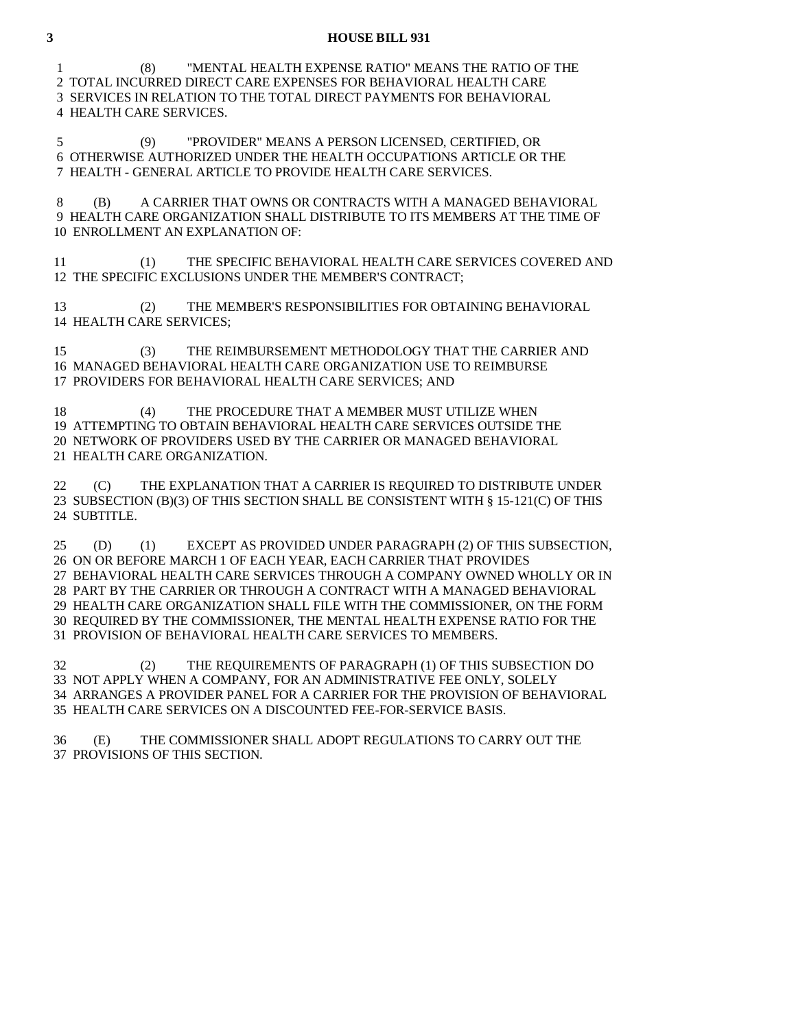#### **3 HOUSE BILL 931**

 1 (8) "MENTAL HEALTH EXPENSE RATIO" MEANS THE RATIO OF THE 2 TOTAL INCURRED DIRECT CARE EXPENSES FOR BEHAVIORAL HEALTH CARE 3 SERVICES IN RELATION TO THE TOTAL DIRECT PAYMENTS FOR BEHAVIORAL 4 HEALTH CARE SERVICES.

 5 (9) "PROVIDER" MEANS A PERSON LICENSED, CERTIFIED, OR 6 OTHERWISE AUTHORIZED UNDER THE HEALTH OCCUPATIONS ARTICLE OR THE 7 HEALTH - GENERAL ARTICLE TO PROVIDE HEALTH CARE SERVICES.

 8 (B) A CARRIER THAT OWNS OR CONTRACTS WITH A MANAGED BEHAVIORAL 9 HEALTH CARE ORGANIZATION SHALL DISTRIBUTE TO ITS MEMBERS AT THE TIME OF 10 ENROLLMENT AN EXPLANATION OF:

 11 (1) THE SPECIFIC BEHAVIORAL HEALTH CARE SERVICES COVERED AND 12 THE SPECIFIC EXCLUSIONS UNDER THE MEMBER'S CONTRACT;

 13 (2) THE MEMBER'S RESPONSIBILITIES FOR OBTAINING BEHAVIORAL 14 HEALTH CARE SERVICES;

 15 (3) THE REIMBURSEMENT METHODOLOGY THAT THE CARRIER AND 16 MANAGED BEHAVIORAL HEALTH CARE ORGANIZATION USE TO REIMBURSE 17 PROVIDERS FOR BEHAVIORAL HEALTH CARE SERVICES; AND

18 (4) THE PROCEDURE THAT A MEMBER MUST UTILIZE WHEN 19 ATTEMPTING TO OBTAIN BEHAVIORAL HEALTH CARE SERVICES OUTSIDE THE 20 NETWORK OF PROVIDERS USED BY THE CARRIER OR MANAGED BEHAVIORAL 21 HEALTH CARE ORGANIZATION.

 22 (C) THE EXPLANATION THAT A CARRIER IS REQUIRED TO DISTRIBUTE UNDER 23 SUBSECTION (B)(3) OF THIS SECTION SHALL BE CONSISTENT WITH § 15-121(C) OF THIS 24 SUBTITLE.

 25 (D) (1) EXCEPT AS PROVIDED UNDER PARAGRAPH (2) OF THIS SUBSECTION, 26 ON OR BEFORE MARCH 1 OF EACH YEAR, EACH CARRIER THAT PROVIDES 27 BEHAVIORAL HEALTH CARE SERVICES THROUGH A COMPANY OWNED WHOLLY OR IN 28 PART BY THE CARRIER OR THROUGH A CONTRACT WITH A MANAGED BEHAVIORAL 29 HEALTH CARE ORGANIZATION SHALL FILE WITH THE COMMISSIONER, ON THE FORM 30 REQUIRED BY THE COMMISSIONER, THE MENTAL HEALTH EXPENSE RATIO FOR THE 31 PROVISION OF BEHAVIORAL HEALTH CARE SERVICES TO MEMBERS.

 32 (2) THE REQUIREMENTS OF PARAGRAPH (1) OF THIS SUBSECTION DO 33 NOT APPLY WHEN A COMPANY, FOR AN ADMINISTRATIVE FEE ONLY, SOLELY 34 ARRANGES A PROVIDER PANEL FOR A CARRIER FOR THE PROVISION OF BEHAVIORAL 35 HEALTH CARE SERVICES ON A DISCOUNTED FEE-FOR-SERVICE BASIS.

 36 (E) THE COMMISSIONER SHALL ADOPT REGULATIONS TO CARRY OUT THE 37 PROVISIONS OF THIS SECTION.